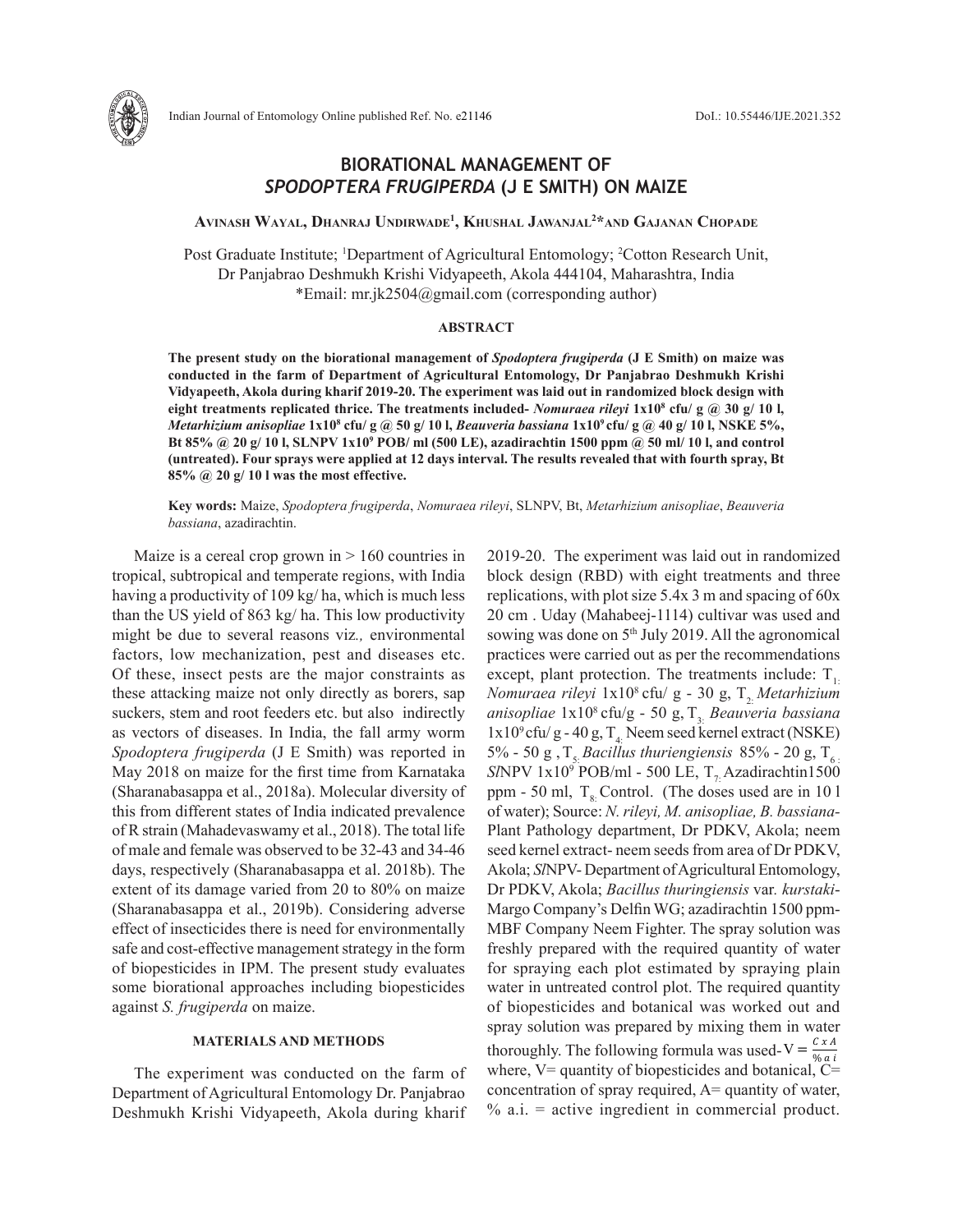

# **BIORATIONAL MANAGEMENT OF**  *SPODOPTERA FRUGIPERDA* **(J E SMITH) ON MAIZE**

**AvinAsh WAyAl, DhAnrAj UnDirWADe<sup>1</sup> , KhUshAl jAWAnjAl<sup>2</sup>\*AnD GAjAnAn ChopADe**

Post Graduate Institute; <sup>1</sup>Department of Agricultural Entomology; <sup>2</sup>Cotton Research Unit, Dr Panjabrao Deshmukh Krishi Vidyapeeth, Akola 444104, Maharashtra, India \*Email: mr.jk2504@gmail.com (corresponding author)

#### **ABSTRACT**

**The present study on the biorational management of** *Spodoptera frugiperda* **(J E Smith) on maize was conducted in the farm of Department of Agricultural Entomology, Dr Panjabrao Deshmukh Krishi Vidyapeeth, Akola during kharif 2019-20. The experiment was laid out in randomized block design with eight treatments replicated thrice. The treatments included-** *Nomuraea rileyi* **1x10<sup>8</sup> cfu/ g @ 30 g/ 10 l,**  *Metarhizium anisopliae* **1x10<sup>8</sup> cfu/ g @ 50 g/ 10 l,** *Beauveria bassiana* **1x10<sup>9</sup>cfu/ g @ 40 g/ 10 l, NSKE 5%, Bt 85% @ 20 g/ 10 l, SLNPV 1x10<sup>9</sup> POB/ ml (500 LE), azadirachtin 1500 ppm @ 50 ml/ 10 l, and control (untreated). Four sprays were applied at 12 days interval. The results revealed that with fourth spray, Bt 85% @ 20 g/ 10 l was the most effective.** 

**Key words:** Maize, *Spodoptera frugiperda*, *Nomuraea rileyi*, SLNPV, Bt, *Metarhizium anisopliae*, *Beauveria bassiana*, azadirachtin.

Maize is a cereal crop grown in  $> 160$  countries in tropical, subtropical and temperate regions, with India having a productivity of 109 kg/ ha, which is much less than the US yield of 863 kg/ ha. This low productivity might be due to several reasons viz*.,* environmental factors, low mechanization, pest and diseases etc. Of these, insect pests are the major constraints as these attacking maize not only directly as borers, sap suckers, stem and root feeders etc. but also indirectly as vectors of diseases. In India, the fall army worm *Spodoptera frugiperda* (J E Smith) was reported in May 2018 on maize for the first time from Karnataka (Sharanabasappa et al., 2018a). Molecular diversity of this from different states of India indicated prevalence of R strain (Mahadevaswamy et al., 2018). The total life of male and female was observed to be 32-43 and 34-46 days, respectively (Sharanabasappa et al. 2018b). The extent of its damage varied from 20 to 80% on maize (Sharanabasappa et al., 2019b). Considering adverse effect of insecticides there is need for environmentally safe and cost-effective management strategy in the form of biopesticides in IPM. The present study evaluates some biorational approaches including biopesticides against *S. frugiperda* on maize.

### **MATERIALS AND METHODS**

The experiment was conducted on the farm of Department of Agricultural Entomology Dr. Panjabrao Deshmukh Krishi Vidyapeeth, Akola during kharif 2019-20. The experiment was laid out in randomized block design (RBD) with eight treatments and three replications, with plot size 5.4x 3 m and spacing of 60x 20 cm . Uday (Mahabeej-1114) cultivar was used and sowing was done on 5<sup>th</sup> July 2019. All the agronomical practices were carried out as per the recommendations except, plant protection. The treatments include:  $T_{1}$ . *Nomuraea rileyi*  $1x10<sup>8</sup>$  cfu/ g - 30 g, T<sub>2</sub>. *Metarhizium* anisopliae  $1x10^8$  cfu/g - 50 g, T<sub>3</sub>. *Beauveria bassiana*  $1x10^9$  cfu/g - 40 g, T<sub>4</sub>. Neem seed kernel extract (NSKE) 5% - 50 g,  $T_5$  *Bacillus thuriengiensis* 85% - 20 g,  $T_6$  $S/NPV$  1x10<sup>9</sup> POB/ml - 500 LE,  $T_{7}$  Azadirachtin1500 ppm - 50 ml,  $T_{\rm g}$ . Control. (The doses used are in 10 l of water); Source: *N. rileyi, M. anisopliae, B. bassiana-*Plant Pathology department, Dr PDKV, Akola; neem seed kernel extract- neem seeds from area of Dr PDKV, Akola; *Sl*NPV- Department of Agricultural Entomology, Dr PDKV, Akola; *Bacillus thuringiensis* var*. kurstaki*-Margo Company's Delfin WG; azadirachtin 1500 ppm-MBF Company Neem Fighter. The spray solution was freshly prepared with the required quantity of water for spraying each plot estimated by spraying plain water in untreated control plot. The required quantity of biopesticides and botanical was worked out and spray solution was prepared by mixing them in water thoroughly. The following formula was used-V =  $\frac{c x A}{\% a i}$ where,  $V =$  quantity of biopesticides and botanical,  $C =$ concentration of spray required, A= quantity of water,  $% a.i. = active ingredient in commercial product.$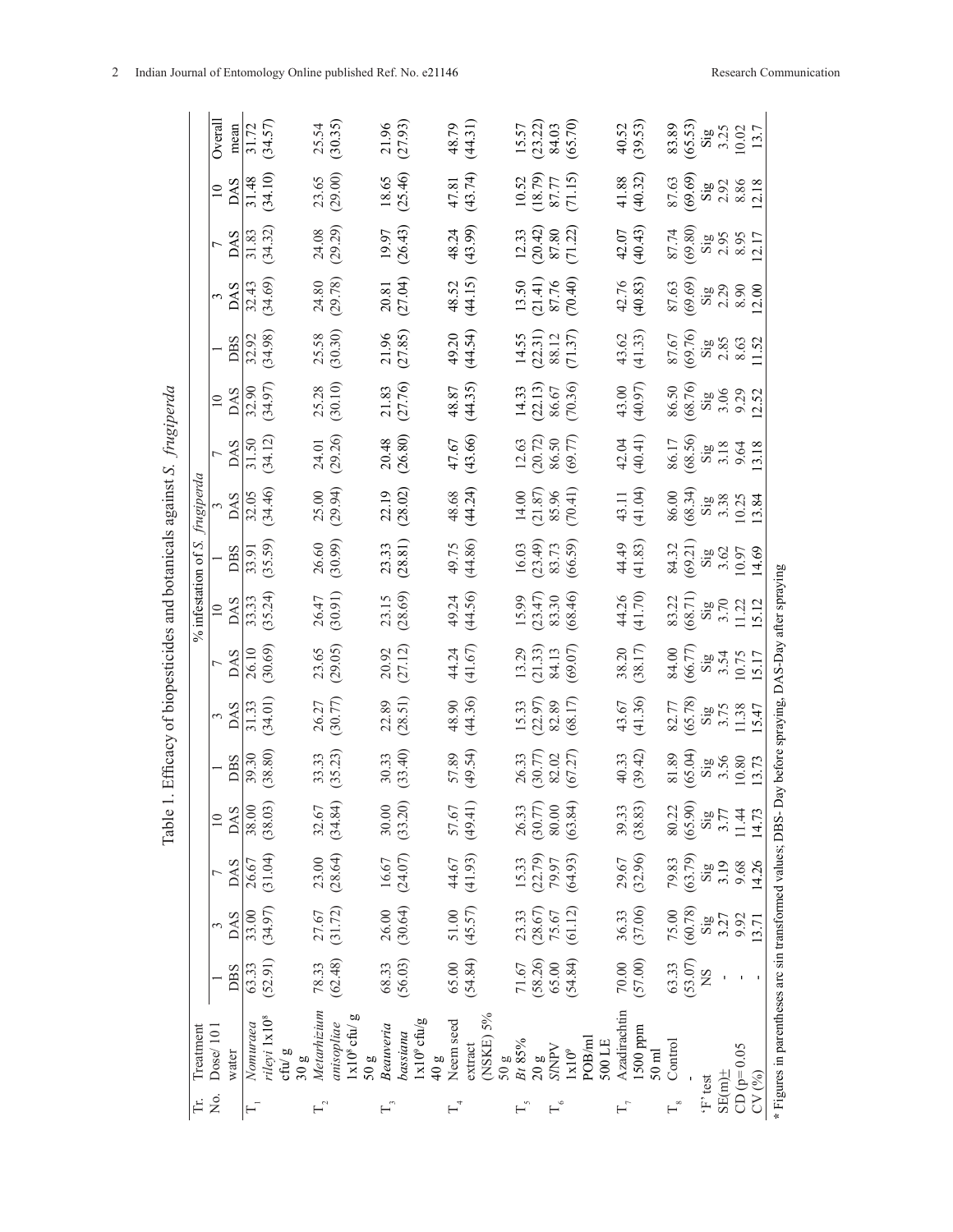|                                | Overall         | mean       | 31.72    | (34.57)                                                                         | 25.54                 | (30.35)                                 | 21.96     | (27.93)                           | 48.79                                                                             | (44.31)                    | 15.57  | (23.22)                         | 84.03        | (65.70)                             | 40.52        | (39.53)                | 83.89                       | (65.53) | $\mathrm{Si}\mathrm{g}$     | 3.25          | 10.02        | 13.7  |                                                           |
|--------------------------------|-----------------|------------|----------|---------------------------------------------------------------------------------|-----------------------|-----------------------------------------|-----------|-----------------------------------|-----------------------------------------------------------------------------------|----------------------------|--------|---------------------------------|--------------|-------------------------------------|--------------|------------------------|-----------------------------|---------|-----------------------------|---------------|--------------|-------|-----------------------------------------------------------|
|                                | $\Xi$           | <b>DAS</b> | 31.48    | (34.10)                                                                         | 23.65                 | (29.00)                                 | 18.65     | (25.46)                           | 47.81                                                                             | (43.74)                    | 10.52  | (18.79)                         | 87.77        | (71.15)                             | 41.88        | (40.32)                | 87.63                       | (69.69) | $\mathbf{Sig}$              | 2.92          | 8.86         | 12.18 |                                                           |
|                                | $\overline{ }$  | <b>DAS</b> | 31.83    | (34.32)                                                                         |                       | 24.08                                   | 19.97     | (26.43)                           | 48.24                                                                             | (43.99)                    | 12.33  | (20.42)                         | 87.80        | (71.22)                             | 42.07        | (40.43)                | 87.74                       | (69.80) | $\mathrm{Si}\mathrm{g}$     | 2.95          | 8.95         | 12.17 |                                                           |
|                                | 3               | <b>DAS</b> | 32.43    | (34.69)                                                                         | 24.80                 | (29.78)                                 | 20.81     | (27.04)                           | 48.52                                                                             | (44.15)                    | 13.50  | (21.41)                         | 87.76        | (70.40)                             | 42.76        | (40.83)                | 87.63                       | (69.69) | $\mathrm{Sig}$              | 2.29          | 8.90         | 12.00 |                                                           |
|                                |                 | <b>DBS</b> | 32.92    | (34.98)                                                                         | 25.58                 | (30.30)                                 | 21.96     | (27.85)                           | 49.20                                                                             | (44.54)                    | 14.55  | (22.31)                         | 88.12        | (71.37)                             | 43.62        | (41.33)                | 87.67                       | (69.76) | $\mathrm{Sig}$              | 2.85          | 8.63         | 11.52 |                                                           |
|                                | $\overline{10}$ | DAS        | 32.90    | (34.97)                                                                         | 25.28                 | (30.10)                                 | 21.83     | (27.76)                           | 48.87                                                                             | (44.35)                    | 14.33  | (22.13)                         | 86.67        | (70.36)                             | 43.00        | (40.97)                | 86.50                       | (68.76) | $\mathrm{Si}\mathrm{g}$     | 3.06          | 9.29         | 2.52  |                                                           |
|                                | 7               | <b>DAS</b> | 31.50    | (34.12)                                                                         | 24.01                 | (29.26)                                 | 20.48     | (26.80)                           | 47.67                                                                             | (43.66)                    | 12.63  | (20.72)                         | 86.50        | (69.77)                             | 42.04        | (40.41)                | 86.17                       | (68.56) | $\mathop{\rm Sig}\nolimits$ | 3.18          | 9.64         | 3.18  |                                                           |
|                                |                 | <b>DAS</b> | 32.05    | (34.46)                                                                         | 25.00                 | (29.94)                                 | 22.19     | (28.02)                           | 48.68                                                                             | (44.24)                    | 14.00  | (21.87)                         | 85.96        | (70.41)                             | 43.11        | (41.04)                | 86.00                       | (68.34) | $\mathrm{Sig}$              | 3.38          | 10.25        | 13.84 |                                                           |
| % infestation of S. frugiperda |                 | <b>DBS</b> | 33.91    | (35.59)                                                                         | 26.60                 | (30.99)                                 | 23.33     | (28.81)                           | 49.75                                                                             | (44.86)                    | 16.03  | (23.49)                         | 83.73        | (66.59)                             | 44.49        | (41.83)                | 84.32                       | (69.21) | $\mathrm{Si}\,\mathrm{g}$   | 3.62          | 10.97        | 14.69 |                                                           |
|                                | $\overline{10}$ | <b>DAS</b> | 33.33    | (35.24)                                                                         | 26.47                 | (30.91)                                 | 23.15     | (28.69)                           | 49.24                                                                             | (44.56)                    | 15.99  | (23.47)                         | 83.30        | (68.46)                             | 44.26        | (41.70)                | 83.22                       | (68.71) | $\mathrm{Si}\mathrm{g}$     | 3.70          | 11.22        | 5.12  |                                                           |
|                                | $\overline{ }$  | DAS        | 26.10    | (30.69)                                                                         | 23.65                 | (29.05)                                 | 20.92     | (27.12)                           | 44.24                                                                             | (41.67)                    | 13.29  | (21.33)                         | 84.13        | (69.07)                             | 38.20        | (38.17)                | 84.00                       | (66.77) | $\mathrm{Sig}$              | 3.54          | 10.75        | 15.17 |                                                           |
|                                | 3               | DAS        | 31.33    | (34.01)                                                                         | 26.27                 | (30.77)                                 | 22.89     | (28.51)                           | 48.90                                                                             | (44.36)                    | 15.33  | (22.97)                         | 82.89        | (68.17)                             | 43.67        | (41.36)                | 82.77                       | (65.78) | $\mathrm{Sig}$              | 3.75          | 11.38        | 15.47 | Day before spraying, DAS-Day after spraying               |
|                                |                 | <b>DBS</b> | 39.30    | (38.80)                                                                         | 33.33                 | (35.23)                                 | 30.33     | (33.40)                           | 57.89                                                                             | (49.54)                    | 26.33  | (30.77)                         | 82.02        | (67.27)                             | 40.33        | (39.42)                | 81.89                       | (65.04) | $\mathrm{Si}\,\mathrm{g}$   | 3.56          | $10.80\,$    | 13.73 |                                                           |
|                                | $\approx$       | <b>DAS</b> | 38.00    | (38.03)                                                                         | 32.67                 | (34.84)                                 | 30.00     | (33.20)                           | 57.67                                                                             | (49.41)                    |        | $26.33$<br>$(30.77)$<br>$80.00$ |              | (63.84)                             | 39.33        | (38.83)                | $80.22$<br>(65.90)          |         | $\frac{Sig}{3.77}$          |               | 11.44        | 14.73 |                                                           |
|                                |                 | <b>DAS</b> | 26.67    | (31.04)                                                                         | 23.00                 | (28.64)                                 | 16.67     | (24.07)                           | 44.67                                                                             | (41.93)                    |        | 15.33<br>(22.79)                | 79.97        | (64.93)                             | 29.67        | (32.96)                | 79.83                       | (63.79) | $\mathrm{Si}_{\mathrm{g}}$  | 3.19          | 9.68         | 14.26 |                                                           |
|                                |                 | <b>DAS</b> | 33.00    | (34.97)                                                                         | 27.67                 | (31.72)                                 | 26.00     | (30.64)                           | $51.00$                                                                           | (45.57)                    | 23.33  | (28.67)                         | 75.67        | (61.12)                             | 36.33        | (37.06)                | 75.00                       | (60.78) | $\mathrm{Sig}$              | 3.27          | 9.92         | 13.71 |                                                           |
|                                |                 | <b>DBS</b> | 63.33    | (52.91)                                                                         | 78.33                 | (62.48)                                 | 68.33     | (56.03)                           | 65.00                                                                             | (54.84)                    | 71.67  | (58.26)                         | 65.00        | (54.84)                             | 70.00        | (57.00)                | 63.33                       | (53.07) | SN                          |               |              |       |                                                           |
| Treatment                      | Dose/101        | water      | Nomuraea | rileyi 1x10 <sup>8</sup><br>$\mathop{\rm ch}\nolimits\hspace{-1.5pt}/ g$<br>30g | Metarhizium           | þΩ<br>anisopliae<br>$1x108$ cfu/<br>50g | Beauveria | $1x10^9$ cfu/g<br>bassiana<br>40g | Neem seed                                                                         | NSKE) 5%<br>extract<br>50g | Bt 85% | 20g                             | <b>AdNIS</b> | POB/ml<br>500 LE<br>$1 \times 10^9$ | Azadirachtin | 1500 ppm<br>$50$ m $l$ | Control                     |         |                             |               | $CD (p=0.05$ |       | * Figures in parentheses arc sin transformed values; DBS- |
| Ë                              | Σó,             |            | н        |                                                                                 | $\Gamma$ <sup>2</sup> |                                         | $\Gamma$  |                                   | $\mathrel{\sqsubset_{\!\!\!\!\!\!\!\!-\!\!\!\!\!\!\!\!\!\!\ {}^{\scriptstyle +}}$ |                            |        |                                 |              |                                     |              |                        | $\mathrel{\sqsubset^\circ}$ |         | $^{\circ}\mathrm{F}$ test   | $SE(m)$ $\pm$ |              | CV(%) |                                                           |

Table 1. Efficacy of biopesticides and botanicals against *S. frugiperda* Table 1. Efficacy of biopesticides and botanicals against S. frugiperda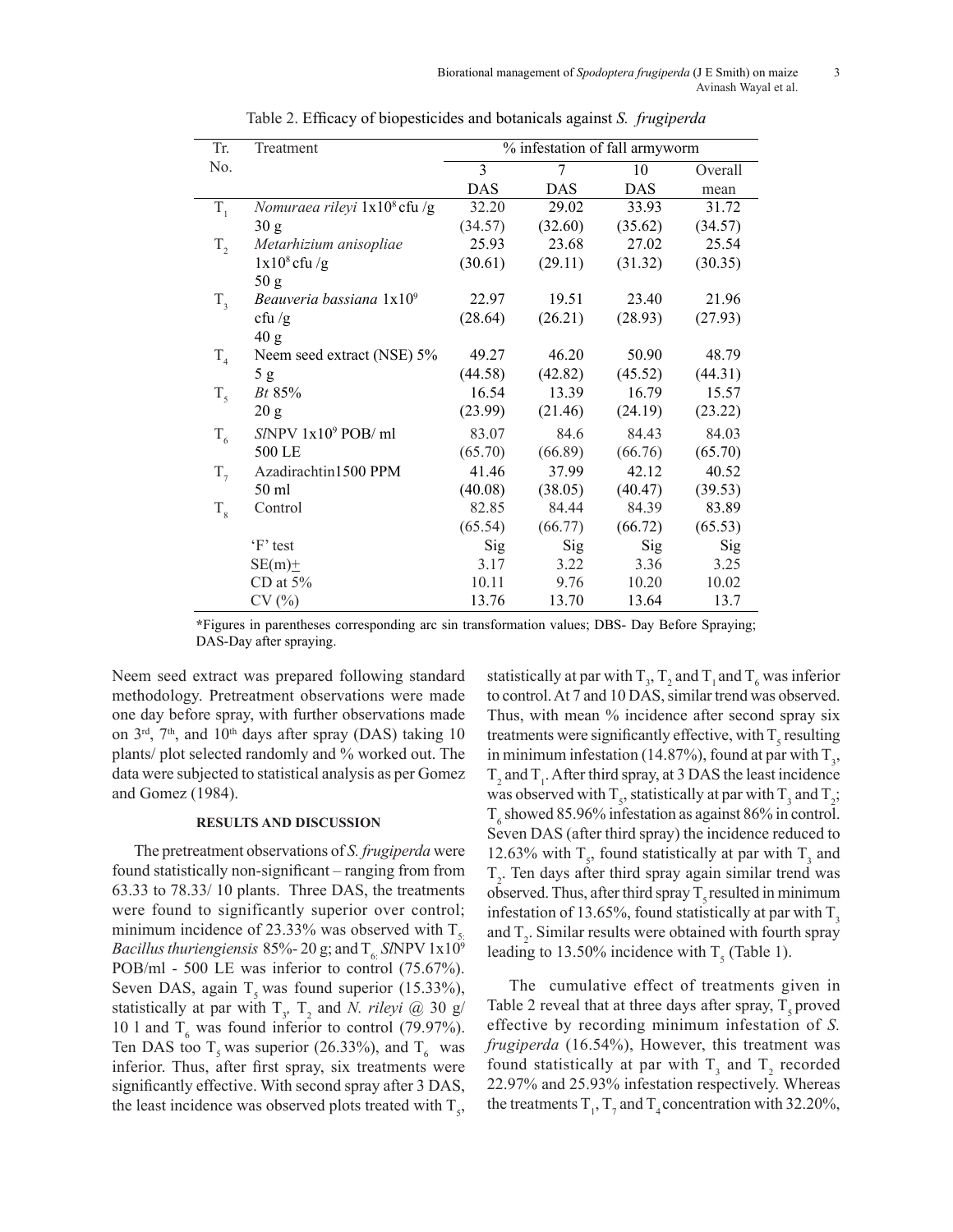| Tr.         | Treatment                                | % infestation of fall armyworm |         |            |         |  |  |  |  |  |
|-------------|------------------------------------------|--------------------------------|---------|------------|---------|--|--|--|--|--|
| No.         |                                          | 3                              | 7       | 10         | Overall |  |  |  |  |  |
|             |                                          | <b>DAS</b>                     | DAS     | <b>DAS</b> | mean    |  |  |  |  |  |
| $T_{1}$     | Nomuraea rileyi 1x10 <sup>8</sup> cfu /g | 32.20                          | 29.02   | 33.93      | 31.72   |  |  |  |  |  |
|             | 30 g                                     | (34.57)                        | (32.60) | (35.62)    | (34.57) |  |  |  |  |  |
| $T_{2}$     | Metarhizium anisopliae                   | 25.93                          | 23.68   | 27.02      | 25.54   |  |  |  |  |  |
|             | $1x108$ cfu /g                           | (30.61)                        | (29.11) | (31.32)    | (30.35) |  |  |  |  |  |
|             | 50 g                                     |                                |         |            |         |  |  |  |  |  |
| $T_{\rm a}$ | Beauveria bassiana 1x10 <sup>9</sup>     | 22.97                          | 19.51   | 23.40      | 21.96   |  |  |  |  |  |
|             | cfu $/g$                                 | (28.64)                        | (26.21) | (28.93)    | (27.93) |  |  |  |  |  |
|             | 40 g                                     |                                |         |            |         |  |  |  |  |  |
| $T_{4}$     | Neem seed extract (NSE) 5%               | 49.27                          | 46.20   | 50.90      | 48.79   |  |  |  |  |  |
|             | 5g                                       | (44.58)                        | (42.82) | (45.52)    | (44.31) |  |  |  |  |  |
| $T_{\zeta}$ | <i>Bt</i> 85%                            | 16.54                          | 13.39   | 16.79      | 15.57   |  |  |  |  |  |
|             | 20 g                                     | (23.99)                        | (21.46) | (24.19)    | (23.22) |  |  |  |  |  |
| $T_{6}$     | $S/NPV$ $1x109$ POB/ml                   | 83.07                          | 84.6    | 84.43      | 84.03   |  |  |  |  |  |
|             | 500 LE                                   | (65.70)                        | (66.89) | (66.76)    | (65.70) |  |  |  |  |  |
| $T_{7}$     | Azadirachtin1500 PPM                     | 41.46                          | 37.99   | 42.12      | 40.52   |  |  |  |  |  |
|             | 50 ml                                    | (40.08)                        | (38.05) | (40.47)    | (39.53) |  |  |  |  |  |
| $T_{\rm g}$ | Control                                  | 82.85                          | 84.44   | 84.39      | 83.89   |  |  |  |  |  |
|             |                                          | (65.54)                        | (66.77) | (66.72)    | (65.53) |  |  |  |  |  |
|             | 'F' test                                 | Sig                            | Sig     | Sig        | Sig     |  |  |  |  |  |
|             | $SE(m)$ $\pm$                            | 3.17                           | 3.22    | 3.36       | 3.25    |  |  |  |  |  |
|             | CD at $5\%$                              | 10.11                          | 9.76    | 10.20      | 10.02   |  |  |  |  |  |
|             | CV(%)                                    | 13.76                          | 13.70   | 13.64      | 13.7    |  |  |  |  |  |

Table 2. Efficacy of biopesticides and botanicals against *S. frugiperda*

**\***Figures in parentheses corresponding arc sin transformation values; DBS- Day Before Spraying; DAS-Day after spraying.

Neem seed extract was prepared following standard methodology. Pretreatment observations were made one day before spray, with further observations made on  $3<sup>rd</sup>$ ,  $7<sup>th</sup>$ , and  $10<sup>th</sup>$  days after spray (DAS) taking 10 plants/ plot selected randomly and % worked out. The data were subjected to statistical analysis as per Gomez and Gomez (1984).

## **RESULTS AND DISCUSSION**

The pretreatment observations of *S. frugiperda* were found statistically non-significant – ranging from from 63.33 to 78.33/ 10 plants. Three DAS, the treatments were found to significantly superior over control; minimum incidence of 23.33% was observed with  $T<sub>s</sub>$ . *Bacillus thuriengiensis 85%-20 g; and*  $T_e$  *SINPV 1x10<sup>9</sup>* POB/ml - 500 LE was inferior to control (75.67%). Seven DAS, again  $T<sub>s</sub>$  was found superior (15.33%), statistically at par with  $T_y$ ,  $T_z$  and *N. rileyi @* 30 g/ 10 l and  $T_6$  was found inferior to control (79.97%). Ten DAS too  $T_s$  was superior (26.33%), and  $T_6$  was inferior. Thus, after first spray, six treatments were significantly effective. With second spray after 3 DAS, the least incidence was observed plots treated with  $T_s$ ,

statistically at par with  $T_3$ ,  $T_2$  and  $T_1$  and  $T_6$  was inferior to control. At 7 and 10 DAS, similar trend was observed. Thus, with mean % incidence after second spray six treatments were significantly effective, with  $T_s$  resulting in minimum infestation (14.87%), found at par with  $T_3$ ,  $T_2$  and  $T_1$ . After third spray, at 3 DAS the least incidence was observed with  $T_s$ , statistically at par with  $T_s$  and  $T_2$ ;  $T_6$  showed 85.96% infestation as against 86% in control. Seven DAS (after third spray) the incidence reduced to 12.63% with  $T_s$ , found statistically at par with  $T_s$  and  $T<sub>2</sub>$ . Ten days after third spray again similar trend was observed. Thus, after third spray  $T_s$  resulted in minimum infestation of 13.65%, found statistically at par with  $T_3$ and  $T_2$ . Similar results were obtained with fourth spray leading to 13.50% incidence with  $T_5$  (Table 1).

The cumulative effect of treatments given in Table 2 reveal that at three days after spray,  $T<sub>s</sub>$  proved effective by recording minimum infestation of *S. frugiperda* (16.54%), However, this treatment was found statistically at par with  $T_3$  and  $T_2$  recorded 22.97% and 25.93% infestation respectively. Whereas the treatments  $T_1$ ,  $T_7$  and  $T_4$  concentration with 32.20%,